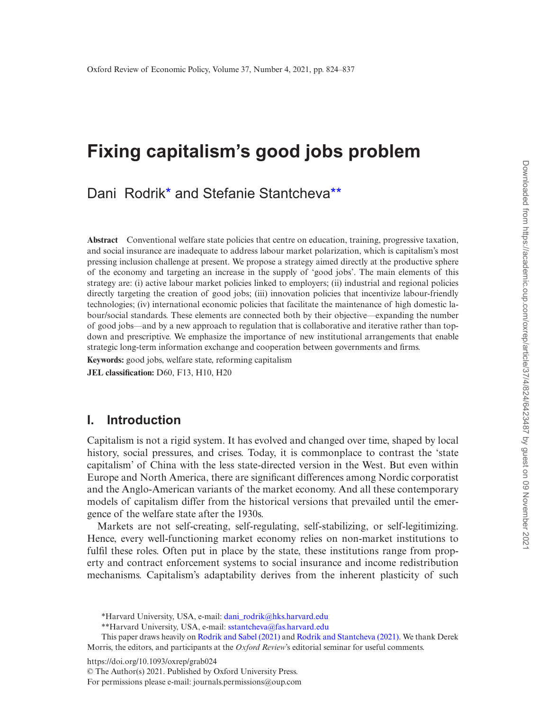# **Fixing capitalism's good jobs problem**

Dani Rodrik[\\*](#page-0-0) and Stefanie Stantchev[a\\*\\*](#page-0-1)

**Abstract** Conventional welfare state policies that centre on education, training, progressive taxation, and social insurance are inadequate to address labour market polarization, which is capitalism's most pressing inclusion challenge at present. We propose a strategy aimed directly at the productive sphere of the economy and targeting an increase in the supply of 'good jobs'. The main elements of this strategy are: (i) active labour market policies linked to employers; (ii) industrial and regional policies directly targeting the creation of good jobs; (iii) innovation policies that incentivize labour-friendly technologies; (iv) international economic policies that facilitate the maintenance of high domestic labour/social standards. These elements are connected both by their objective—expanding the number of good jobs—and by a new approach to regulation that is collaborative and iterative rather than topdown and prescriptive. We emphasize the importance of new institutional arrangements that enable strategic long-term information exchange and cooperation between governments and firms.

**Keywords:** good jobs, welfare state, reforming capitalism **JEL classification:** D60, F13, H10, H20

#### **I. Introduction**

Capitalism is not a rigid system. It has evolved and changed over time, shaped by local history, social pressures, and crises. Today, it is commonplace to contrast the 'state capitalism' of China with the less state-directed version in the West. But even within Europe and North America, there are significant differences among Nordic corporatist and the Anglo-American variants of the market economy. And all these contemporary models of capitalism differ from the historical versions that prevailed until the emergence of the welfare state after the 1930s.

Markets are not self-creating, self-regulating, self-stabilizing, or self-legitimizing. Hence, every well-functioning market economy relies on non-market institutions to fulfil these roles. Often put in place by the state, these institutions range from property and contract enforcement systems to social insurance and income redistribution mechanisms. Capitalism's adaptability derives from the inherent plasticity of such

https://doi.org/10.1093/oxrep/grab024

© The Author(s) 2021. Published by Oxford University Press.

For permissions please e-mail: journals.permissions@oup.com

<span id="page-0-0"></span><sup>\*</sup>Harvard University, USA, e-mail: [dani\\_rodrik@hks.harvard.edu](mailto:dani_rodrik@hks.harvard.edu?subject=)

<span id="page-0-1"></span><sup>\*\*</sup>Harvard University, USA, e-mail: [sstantcheva@fas.harvard.edu](mailto:sstantcheva@fas.harvard.edu?subject=)

This paper draws heavily on [Rodrik and Sabel \(2021\)](#page-13-0) and [Rodrik and Stantcheva \(2021\).](#page-13-1) We thank Derek Morris, the editors, and participants at the *Oxford Review*'s editorial seminar for useful comments.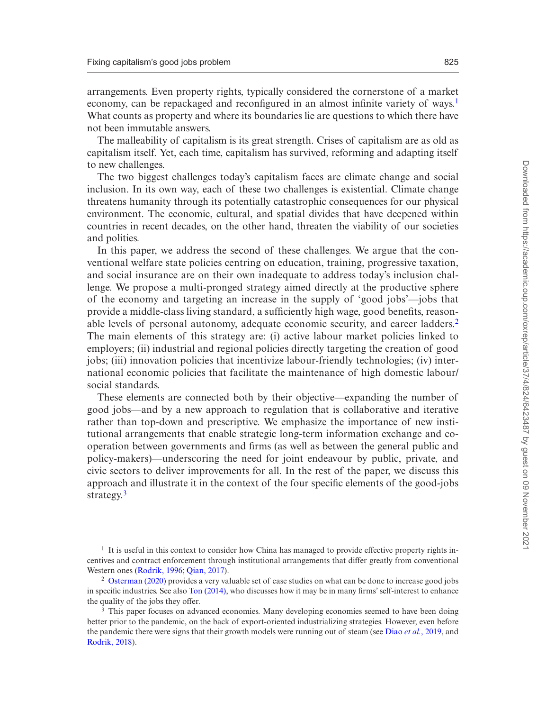arrangements. Even property rights, typically considered the cornerstone of a market economy, can be repackaged and reconfigured in an almost infinite variety of ways.<sup>[1](#page-1-0)</sup> What counts as property and where its boundaries lie are questions to which there have not been immutable answers.

The malleability of capitalism is its great strength. Crises of capitalism are as old as capitalism itself. Yet, each time, capitalism has survived, reforming and adapting itself to new challenges.

The two biggest challenges today's capitalism faces are climate change and social inclusion. In its own way, each of these two challenges is existential. Climate change threatens humanity through its potentially catastrophic consequences for our physical environment. The economic, cultural, and spatial divides that have deepened within countries in recent decades, on the other hand, threaten the viability of our societies and polities.

In this paper, we address the second of these challenges. We argue that the conventional welfare state policies centring on education, training, progressive taxation, and social insurance are on their own inadequate to address today's inclusion challenge. We propose a multi-pronged strategy aimed directly at the productive sphere of the economy and targeting an increase in the supply of 'good jobs'—jobs that provide a middle-class living standard, a sufficiently high wage, good benefits, reasonable levels of personal autonomy, adequate economic security, and career ladders.[2](#page-1-1) The main elements of this strategy are: (i) active labour market policies linked to employers; (ii) industrial and regional policies directly targeting the creation of good jobs; (iii) innovation policies that incentivize labour-friendly technologies; (iv) international economic policies that facilitate the maintenance of high domestic labour/ social standards.

These elements are connected both by their objective—expanding the number of good jobs—and by a new approach to regulation that is collaborative and iterative rather than top-down and prescriptive. We emphasize the importance of new institutional arrangements that enable strategic long-term information exchange and cooperation between governments and firms (as well as between the general public and policy-makers)—underscoring the need for joint endeavour by public, private, and civic sectors to deliver improvements for all. In the rest of the paper, we discuss this approach and illustrate it in the context of the four specific elements of the good-jobs strategy.<sup>[3](#page-1-2)</sup>

<span id="page-1-0"></span> $<sup>1</sup>$  It is useful in this context to consider how China has managed to provide effective property rights in-</sup> centives and contract enforcement through institutional arrangements that differ greatly from conventional Western ones ([Rodrik, 1996](#page-13-2); [Qian, 2017](#page-13-3)).

<span id="page-1-1"></span><sup>2</sup> [Osterman \(2020\)](#page-13-4) provides a very valuable set of case studies on what can be done to increase good jobs in specific industries. See also [Ton \(2014\),](#page-13-5) who discusses how it may be in many firms' self-interest to enhance the quality of the jobs they offer.

<span id="page-1-2"></span><sup>&</sup>lt;sup>3</sup> This paper focuses on advanced economies. Many developing economies seemed to have been doing better prior to the pandemic, on the back of export-oriented industrializing strategies. However, even before the pandemic there were signs that their growth models were running out of steam (see Diao *et al.*[, 2019](#page-12-0), and [Rodrik, 2018\)](#page-13-6).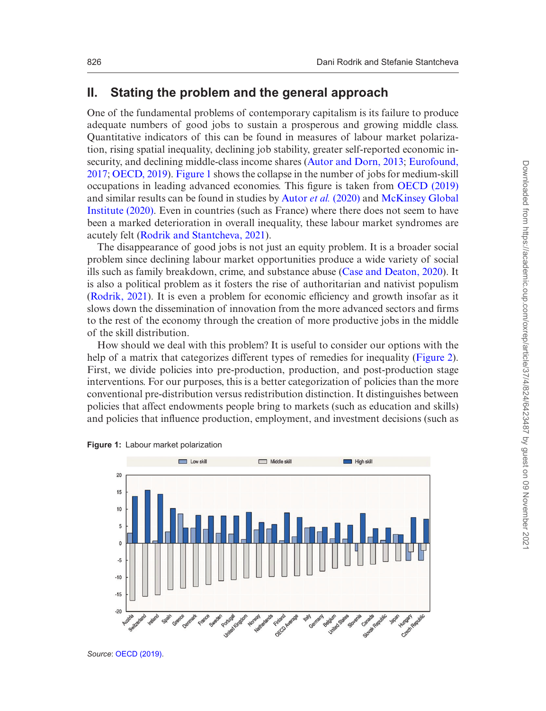#### **II. Stating the problem and the general approach**

One of the fundamental problems of contemporary capitalism is its failure to produce adequate numbers of good jobs to sustain a prosperous and growing middle class. Quantitative indicators of this can be found in measures of labour market polarization, rising spatial inequality, declining job stability, greater self-reported economic insecurity, and declining middle-class income shares ([Autor and Dorn, 2013](#page-12-1); [Eurofound,](#page-13-7) [2017;](#page-13-7) [OECD, 2019](#page-13-8)). [Figure 1](#page-2-0) shows the collapse in the number of jobs for medium-skill occupations in leading advanced economies. This figure is taken from [OECD \(2019\)](#page-13-8) and similar results can be found in studies by Autor *et al.* [\(2020\)](#page-12-2) and [McKinsey Global](#page-13-9) [Institute \(2020\).](#page-13-9) Even in countries (such as France) where there does not seem to have been a marked deterioration in overall inequality, these labour market syndromes are acutely felt ([Rodrik and Stantcheva, 2021\)](#page-13-1).

The disappearance of good jobs is not just an equity problem. It is a broader social problem since declining labour market opportunities produce a wide variety of social ills such as family breakdown, crime, and substance abuse ([Case and Deaton, 2020](#page-12-3)). It is also a political problem as it fosters the rise of authoritarian and nativist populism ([Rodrik, 2021\)](#page-13-10). It is even a problem for economic efficiency and growth insofar as it slows down the dissemination of innovation from the more advanced sectors and firms to the rest of the economy through the creation of more productive jobs in the middle of the skill distribution.

How should we deal with this problem? It is useful to consider our options with the help of a matrix that categorizes different types of remedies for inequality [\(Figure 2](#page-3-0)). First, we divide policies into pre-production, production, and post-production stage interventions. For our purposes, this is a better categorization of policies than the more conventional pre-distribution versus redistribution distinction. It distinguishes between policies that affect endowments people bring to markets (such as education and skills) and policies that influence production, employment, and investment decisions (such as



<span id="page-2-0"></span>

*Source*: [OECD \(2019\).](#page-13-8)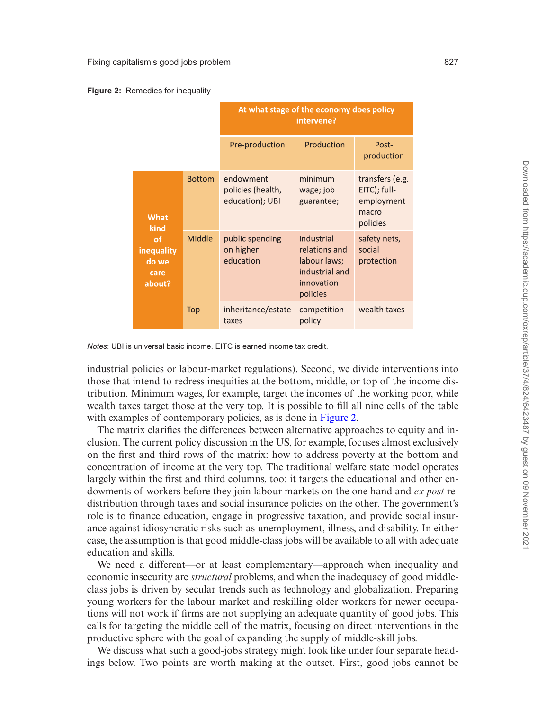<span id="page-3-0"></span>

|  |  | Figure 2: Remedies for inequality |
|--|--|-----------------------------------|
|--|--|-----------------------------------|

|                                                                    |               | At what stage of the economy does policy<br>intervene? |                                                                                         |                                                                    |
|--------------------------------------------------------------------|---------------|--------------------------------------------------------|-----------------------------------------------------------------------------------------|--------------------------------------------------------------------|
|                                                                    |               | Pre-production                                         | Production                                                                              | Post-<br>production                                                |
| <b>What</b><br>kind<br>of<br>inequality<br>do we<br>care<br>about? | <b>Bottom</b> | endowment<br>policies (health,<br>education); UBI      | minimum<br>wage; job<br>guarantee;                                                      | transfers (e.g.<br>EITC); full-<br>employment<br>macro<br>policies |
|                                                                    | Middle        | public spending<br>on higher<br>education              | industrial<br>relations and<br>labour laws;<br>industrial and<br>innovation<br>policies | safety nets,<br>social<br>protection                               |
|                                                                    | Top           | inheritance/estate<br>taxes                            | competition<br>policy                                                                   | wealth taxes                                                       |

*Notes*: UBI is universal basic income. EITC is earned income tax credit.

industrial policies or labour-market regulations). Second, we divide interventions into those that intend to redress inequities at the bottom, middle, or top of the income distribution. Minimum wages, for example, target the incomes of the working poor, while wealth taxes target those at the very top. It is possible to fill all nine cells of the table with examples of contemporary policies, as is done in [Figure 2.](#page-3-0)

The matrix clarifies the differences between alternative approaches to equity and inclusion. The current policy discussion in the US, for example, focuses almost exclusively on the first and third rows of the matrix: how to address poverty at the bottom and concentration of income at the very top. The traditional welfare state model operates largely within the first and third columns, too: it targets the educational and other endowments of workers before they join labour markets on the one hand and *ex post* redistribution through taxes and social insurance policies on the other. The government's role is to finance education, engage in progressive taxation, and provide social insurance against idiosyncratic risks such as unemployment, illness, and disability. In either case, the assumption is that good middle-class jobs will be available to all with adequate education and skills.

We need a different—or at least complementary—approach when inequality and economic insecurity are *structural* problems, and when the inadequacy of good middleclass jobs is driven by secular trends such as technology and globalization. Preparing young workers for the labour market and reskilling older workers for newer occupations will not work if firms are not supplying an adequate quantity of good jobs. This calls for targeting the middle cell of the matrix, focusing on direct interventions in the productive sphere with the goal of expanding the supply of middle-skill jobs.

We discuss what such a good-jobs strategy might look like under four separate headings below. Two points are worth making at the outset. First, good jobs cannot be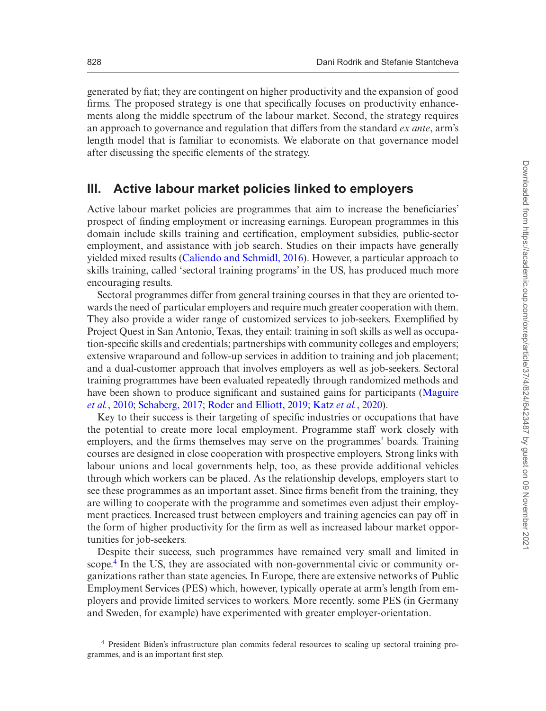generated by fiat; they are contingent on higher productivity and the expansion of good firms. The proposed strategy is one that specifically focuses on productivity enhancements along the middle spectrum of the labour market. Second, the strategy requires an approach to governance and regulation that differs from the standard *ex ante*, arm's length model that is familiar to economists. We elaborate on that governance model after discussing the specific elements of the strategy.

#### **III. Active labour market policies linked to employers**

Active labour market policies are programmes that aim to increase the beneficiaries' prospect of finding employment or increasing earnings. European programmes in this domain include skills training and certification, employment subsidies, public-sector employment, and assistance with job search. Studies on their impacts have generally yielded mixed results ([Caliendo and Schmidl, 2016\)](#page-12-4). However, a particular approach to skills training, called 'sectoral training programs' in the US, has produced much more encouraging results.

Sectoral programmes differ from general training courses in that they are oriented towards the need of particular employers and require much greater cooperation with them. They also provide a wider range of customized services to job-seekers. Exemplified by Project Quest in San Antonio, Texas, they entail: training in soft skills as well as occupation-specific skills and credentials; partnerships with community colleges and employers; extensive wraparound and follow-up services in addition to training and job placement; and a dual-customer approach that involves employers as well as job-seekers. Sectoral training programmes have been evaluated repeatedly through randomized methods and have been shown to produce significant and sustained gains for participants ([Maguire](#page-13-11) *et al.*[, 2010;](#page-13-11) [Schaberg, 2017;](#page-13-12) [Roder and Elliott, 2019](#page-13-13); Katz *et al.*[, 2020](#page-13-14)).

Key to their success is their targeting of specific industries or occupations that have the potential to create more local employment. Programme staff work closely with employers, and the firms themselves may serve on the programmes' boards. Training courses are designed in close cooperation with prospective employers. Strong links with labour unions and local governments help, too, as these provide additional vehicles through which workers can be placed. As the relationship develops, employers start to see these programmes as an important asset. Since firms benefit from the training, they are willing to cooperate with the programme and sometimes even adjust their employment practices. Increased trust between employers and training agencies can pay off in the form of higher productivity for the firm as well as increased labour market opportunities for job-seekers.

Despite their success, such programmes have remained very small and limited in scope[.4](#page-4-0) In the US, they are associated with non-governmental civic or community organizations rather than state agencies. In Europe, there are extensive networks of Public Employment Services (PES) which, however, typically operate at arm's length from employers and provide limited services to workers. More recently, some PES (in Germany and Sweden, for example) have experimented with greater employer-orientation.

<span id="page-4-0"></span><sup>4</sup> President Biden's infrastructure plan commits federal resources to scaling up sectoral training programmes, and is an important first step.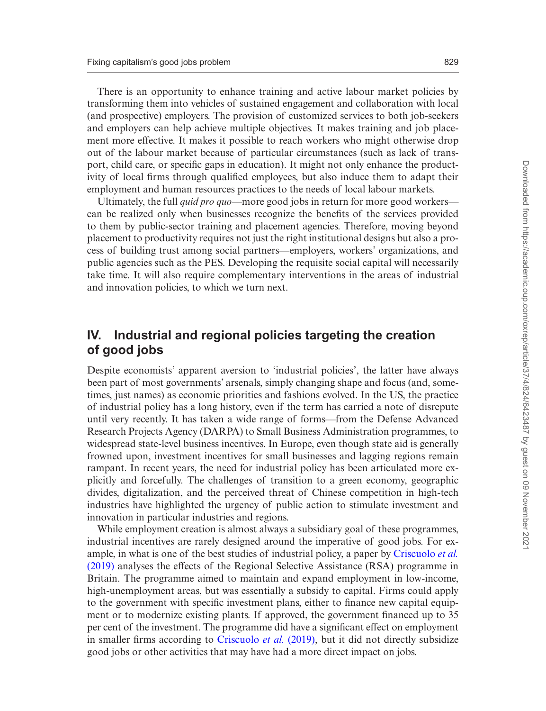There is an opportunity to enhance training and active labour market policies by transforming them into vehicles of sustained engagement and collaboration with local (and prospective) employers. The provision of customized services to both job-seekers and employers can help achieve multiple objectives. It makes training and job placement more effective. It makes it possible to reach workers who might otherwise drop out of the labour market because of particular circumstances (such as lack of transport, child care, or specific gaps in education). It might not only enhance the productivity of local firms through qualified employees, but also induce them to adapt their employment and human resources practices to the needs of local labour markets.

Ultimately, the full *quid pro quo*—more good jobs in return for more good workers can be realized only when businesses recognize the benefits of the services provided to them by public-sector training and placement agencies. Therefore, moving beyond placement to productivity requires not just the right institutional designs but also a process of building trust among social partners—employers, workers' organizations, and public agencies such as the PES. Developing the requisite social capital will necessarily take time. It will also require complementary interventions in the areas of industrial and innovation policies, to which we turn next.

### **IV. Industrial and regional policies targeting the creation of good jobs**

Despite economists' apparent aversion to 'industrial policies', the latter have always been part of most governments' arsenals, simply changing shape and focus (and, sometimes, just names) as economic priorities and fashions evolved. In the US, the practice of industrial policy has a long history, even if the term has carried a note of disrepute until very recently. It has taken a wide range of forms—from the Defense Advanced Research Projects Agency (DARPA) to Small Business Administration programmes, to widespread state-level business incentives. In Europe, even though state aid is generally frowned upon, investment incentives for small businesses and lagging regions remain rampant. In recent years, the need for industrial policy has been articulated more explicitly and forcefully. The challenges of transition to a green economy, geographic divides, digitalization, and the perceived threat of Chinese competition in high-tech industries have highlighted the urgency of public action to stimulate investment and innovation in particular industries and regions.

While employment creation is almost always a subsidiary goal of these programmes, industrial incentives are rarely designed around the imperative of good jobs. For example, in what is one of the best studies of industrial policy, a paper by [Criscuolo](#page-12-5) *et al.* [\(2019\)](#page-12-5) analyses the effects of the Regional Selective Assistance (RSA) programme in Britain. The programme aimed to maintain and expand employment in low-income, high-unemployment areas, but was essentially a subsidy to capital. Firms could apply to the government with specific investment plans, either to finance new capital equipment or to modernize existing plants. If approved, the government financed up to 35 per cent of the investment. The programme did have a significant effect on employment in smaller firms according to [Criscuolo](#page-12-5) *et al.* (2019), but it did not directly subsidize good jobs or other activities that may have had a more direct impact on jobs.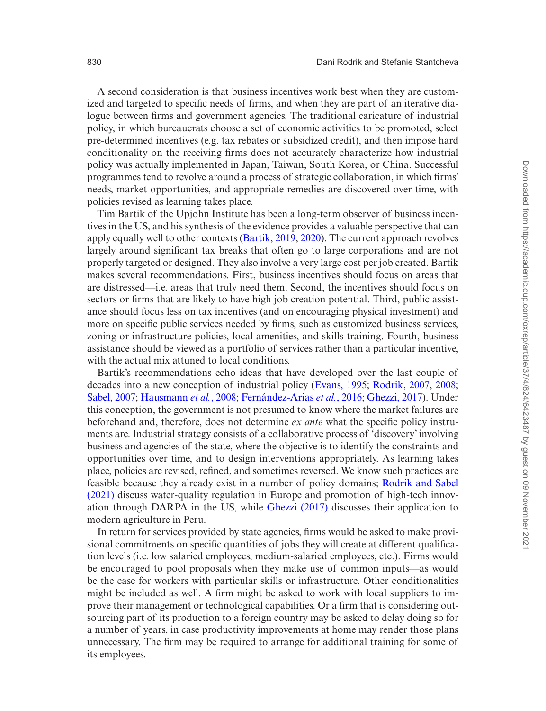A second consideration is that business incentives work best when they are customized and targeted to specific needs of firms, and when they are part of an iterative dialogue between firms and government agencies. The traditional caricature of industrial policy, in which bureaucrats choose a set of economic activities to be promoted, select pre-determined incentives (e.g. tax rebates or subsidized credit), and then impose hard conditionality on the receiving firms does not accurately characterize how industrial policy was actually implemented in Japan, Taiwan, South Korea, or China. Successful programmes tend to revolve around a process of strategic collaboration, in which firms' needs, market opportunities, and appropriate remedies are discovered over time, with policies revised as learning takes place.

Tim Bartik of the Upjohn Institute has been a long-term observer of business incentives in the US, and his synthesis of the evidence provides a valuable perspective that can apply equally well to other contexts [\(Bartik, 2019](#page-12-6), [2020](#page-12-7)). The current approach revolves largely around significant tax breaks that often go to large corporations and are not properly targeted or designed. They also involve a very large cost per job created. Bartik makes several recommendations. First, business incentives should focus on areas that are distressed—i.e. areas that truly need them. Second, the incentives should focus on sectors or firms that are likely to have high job creation potential. Third, public assistance should focus less on tax incentives (and on encouraging physical investment) and more on specific public services needed by firms, such as customized business services, zoning or infrastructure policies, local amenities, and skills training. Fourth, business assistance should be viewed as a portfolio of services rather than a particular incentive, with the actual mix attuned to local conditions.

Bartik's recommendations echo ideas that have developed over the last couple of decades into a new conception of industrial policy ([Evans, 1995](#page-13-15); [Rodrik, 2007,](#page-13-16) [2008;](#page-13-17) [Sabel, 2007](#page-13-18); [Hausmann](#page-13-19) *et al.*, 2008; [Fernández-Arias](#page-13-20) *et al.*, 2016; [Ghezzi, 2017\)](#page-13-21). Under this conception, the government is not presumed to know where the market failures are beforehand and, therefore, does not determine *ex ante* what the specific policy instruments are. Industrial strategy consists of a collaborative process of 'discovery' involving business and agencies of the state, where the objective is to identify the constraints and opportunities over time, and to design interventions appropriately. As learning takes place, policies are revised, refined, and sometimes reversed. We know such practices are feasible because they already exist in a number of policy domains; [Rodrik and Sabel](#page-13-0) [\(2021\)](#page-13-0) discuss water-quality regulation in Europe and promotion of high-tech innovation through DARPA in the US, while [Ghezzi \(2017\)](#page-13-21) discusses their application to modern agriculture in Peru.

In return for services provided by state agencies, firms would be asked to make provisional commitments on specific quantities of jobs they will create at different qualification levels (i.e. low salaried employees, medium-salaried employees, etc.). Firms would be encouraged to pool proposals when they make use of common inputs—as would be the case for workers with particular skills or infrastructure. Other conditionalities might be included as well. A firm might be asked to work with local suppliers to improve their management or technological capabilities. Or a firm that is considering outsourcing part of its production to a foreign country may be asked to delay doing so for a number of years, in case productivity improvements at home may render those plans unnecessary. The firm may be required to arrange for additional training for some of its employees.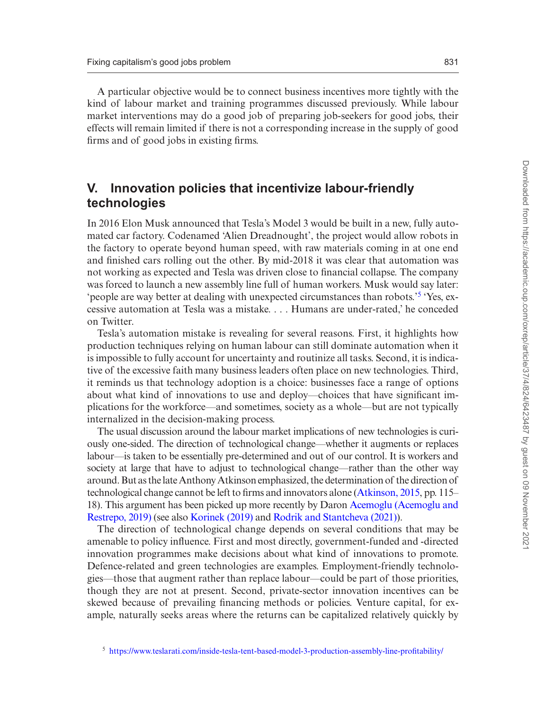A particular objective would be to connect business incentives more tightly with the kind of labour market and training programmes discussed previously. While labour market interventions may do a good job of preparing job-seekers for good jobs, their effects will remain limited if there is not a corresponding increase in the supply of good firms and of good jobs in existing firms.

## **V. Innovation policies that incentivize labour-friendly technologies**

In 2016 Elon Musk announced that Tesla's Model 3 would be built in a new, fully automated car factory. Codenamed 'Alien Dreadnought', the project would allow robots in the factory to operate beyond human speed, with raw materials coming in at one end and finished cars rolling out the other. By mid-2018 it was clear that automation was not working as expected and Tesla was driven close to financial collapse. The company was forced to launch a new assembly line full of human workers. Musk would say later: 'people are way better at dealing with unexpected circumstances than robots.'[5](#page-7-0) 'Yes, excessive automation at Tesla was a mistake. . . . Humans are under-rated,' he conceded on Twitter.

Tesla's automation mistake is revealing for several reasons. First, it highlights how production techniques relying on human labour can still dominate automation when it is impossible to fully account for uncertainty and routinize all tasks. Second, it is indicative of the excessive faith many business leaders often place on new technologies. Third, it reminds us that technology adoption is a choice: businesses face a range of options about what kind of innovations to use and deploy—choices that have significant implications for the workforce—and sometimes, society as a whole—but are not typically internalized in the decision-making process.

The usual discussion around the labour market implications of new technologies is curiously one-sided. The direction of technological change—whether it augments or replaces labour—is taken to be essentially pre-determined and out of our control. It is workers and society at large that have to adjust to technological change—rather than the other way around. But as the late Anthony Atkinson emphasized, the determination of the direction of technological change cannot be left to firms and innovators alone [\(Atkinson, 2015,](#page-12-8) pp. 115– 18). This argument has been picked up more recently by Daron [Acemoglu \(Acemoglu and](#page-12-9) [Restrepo, 2019\)](#page-12-9) (see also [Korinek \(2019\)](#page-13-22) and [Rodrik and Stantcheva \(2021\)\)](#page-13-1).

The direction of technological change depends on several conditions that may be amenable to policy influence. First and most directly, government-funded and -directed innovation programmes make decisions about what kind of innovations to promote. Defence-related and green technologies are examples. Employment-friendly technologies—those that augment rather than replace labour—could be part of those priorities, though they are not at present. Second, private-sector innovation incentives can be skewed because of prevailing financing methods or policies. Venture capital, for example, naturally seeks areas where the returns can be capitalized relatively quickly by

<span id="page-7-0"></span><sup>5</sup> <https://www.teslarati.com/inside-tesla-tent-based-model-3-production-assembly-line-profitability/>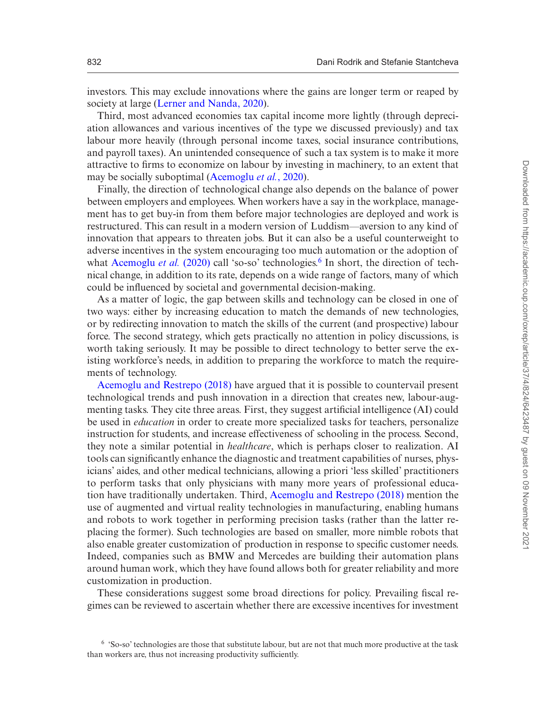investors. This may exclude innovations where the gains are longer term or reaped by society at large [\(Lerner and Nanda, 2020](#page-13-23)).

Third, most advanced economies tax capital income more lightly (through depreciation allowances and various incentives of the type we discussed previously) and tax labour more heavily (through personal income taxes, social insurance contributions, and payroll taxes). An unintended consequence of such a tax system is to make it more attractive to firms to economize on labour by investing in machinery, to an extent that may be socially suboptimal [\(Acemoglu](#page-12-10) *et al.*, 2020).

Finally, the direction of technological change also depends on the balance of power between employers and employees. When workers have a say in the workplace, management has to get buy-in from them before major technologies are deployed and work is restructured. This can result in a modern version of Luddism—aversion to any kind of innovation that appears to threaten jobs. But it can also be a useful counterweight to adverse incentives in the system encouraging too much automation or the adoption of what [Acemoglu](#page-12-10) *et al.* (2020) call 'so-so' technologies.<sup>6</sup> In short, the direction of technical change, in addition to its rate, depends on a wide range of factors, many of which could be influenced by societal and governmental decision-making.

As a matter of logic, the gap between skills and technology can be closed in one of two ways: either by increasing education to match the demands of new technologies, or by redirecting innovation to match the skills of the current (and prospective) labour force. The second strategy, which gets practically no attention in policy discussions, is worth taking seriously. It may be possible to direct technology to better serve the existing workforce's needs, in addition to preparing the workforce to match the requirements of technology.

[Acemoglu and Restrepo \(2018\)](#page-12-11) have argued that it is possible to countervail present technological trends and push innovation in a direction that creates new, labour-augmenting tasks. They cite three areas. First, they suggest artificial intelligence (AI) could be used in *education* in order to create more specialized tasks for teachers, personalize instruction for students, and increase effectiveness of schooling in the process. Second, they note a similar potential in *healthcare*, which is perhaps closer to realization. AI tools can significantly enhance the diagnostic and treatment capabilities of nurses, physicians' aides, and other medical technicians, allowing a priori 'less skilled' practitioners to perform tasks that only physicians with many more years of professional education have traditionally undertaken. Third, [Acemoglu and Restrepo \(2018\)](#page-12-11) mention the use of augmented and virtual reality technologies in manufacturing, enabling humans and robots to work together in performing precision tasks (rather than the latter replacing the former). Such technologies are based on smaller, more nimble robots that also enable greater customization of production in response to specific customer needs. Indeed, companies such as BMW and Mercedes are building their automation plans around human work, which they have found allows both for greater reliability and more customization in production.

These considerations suggest some broad directions for policy. Prevailing fiscal regimes can be reviewed to ascertain whether there are excessive incentives for investment

<span id="page-8-0"></span><sup>&</sup>lt;sup>6</sup> 'So-so' technologies are those that substitute labour, but are not that much more productive at the task than workers are, thus not increasing productivity sufficiently.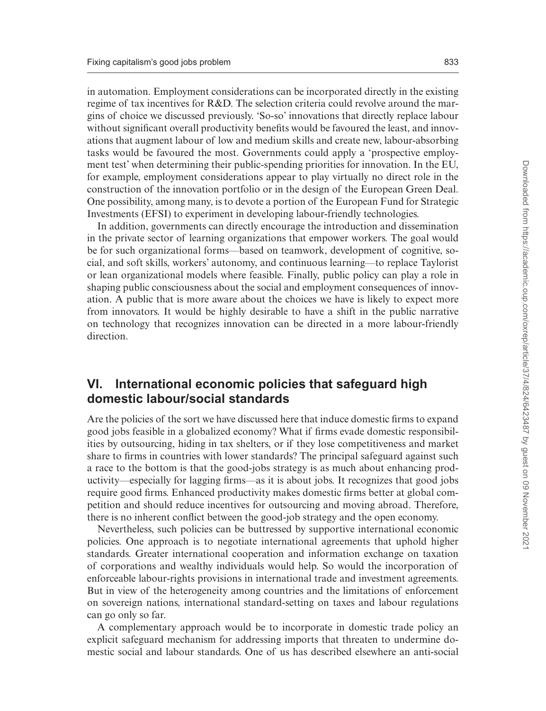in automation. Employment considerations can be incorporated directly in the existing regime of tax incentives for R&D. The selection criteria could revolve around the margins of choice we discussed previously. 'So-so' innovations that directly replace labour without significant overall productivity benefits would be favoured the least, and innovations that augment labour of low and medium skills and create new, labour-absorbing tasks would be favoured the most. Governments could apply a 'prospective employment test' when determining their public-spending priorities for innovation. In the EU, for example, employment considerations appear to play virtually no direct role in the construction of the innovation portfolio or in the design of the European Green Deal. One possibility, among many, is to devote a portion of the European Fund for Strategic Investments (EFSI) to experiment in developing labour-friendly technologies.

In addition, governments can directly encourage the introduction and dissemination in the private sector of learning organizations that empower workers. The goal would be for such organizational forms—based on teamwork, development of cognitive, social, and soft skills, workers' autonomy, and continuous learning—to replace Taylorist or lean organizational models where feasible. Finally, public policy can play a role in shaping public consciousness about the social and employment consequences of innovation. A public that is more aware about the choices we have is likely to expect more from innovators. It would be highly desirable to have a shift in the public narrative on technology that recognizes innovation can be directed in a more labour-friendly direction.

### **VI. International economic policies that safeguard high domestic labour/social standards**

Are the policies of the sort we have discussed here that induce domestic firms to expand good jobs feasible in a globalized economy? What if firms evade domestic responsibilities by outsourcing, hiding in tax shelters, or if they lose competitiveness and market share to firms in countries with lower standards? The principal safeguard against such a race to the bottom is that the good-jobs strategy is as much about enhancing productivity—especially for lagging firms—as it is about jobs. It recognizes that good jobs require good firms. Enhanced productivity makes domestic firms better at global competition and should reduce incentives for outsourcing and moving abroad. Therefore, there is no inherent conflict between the good-job strategy and the open economy.

Nevertheless, such policies can be buttressed by supportive international economic policies. One approach is to negotiate international agreements that uphold higher standards. Greater international cooperation and information exchange on taxation of corporations and wealthy individuals would help. So would the incorporation of enforceable labour-rights provisions in international trade and investment agreements. But in view of the heterogeneity among countries and the limitations of enforcement on sovereign nations, international standard-setting on taxes and labour regulations can go only so far.

A complementary approach would be to incorporate in domestic trade policy an explicit safeguard mechanism for addressing imports that threaten to undermine domestic social and labour standards. One of us has described elsewhere an anti-social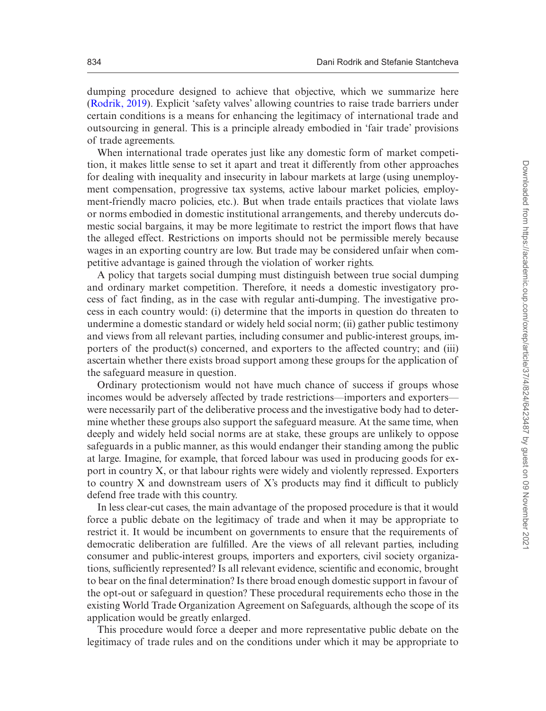dumping procedure designed to achieve that objective, which we summarize here ([Rodrik, 2019](#page-13-24)). Explicit 'safety valves' allowing countries to raise trade barriers under certain conditions is a means for enhancing the legitimacy of international trade and outsourcing in general. This is a principle already embodied in 'fair trade' provisions of trade agreements.

When international trade operates just like any domestic form of market competition, it makes little sense to set it apart and treat it differently from other approaches for dealing with inequality and insecurity in labour markets at large (using unemployment compensation, progressive tax systems, active labour market policies, employment-friendly macro policies, etc.). But when trade entails practices that violate laws or norms embodied in domestic institutional arrangements, and thereby undercuts domestic social bargains, it may be more legitimate to restrict the import flows that have the alleged effect. Restrictions on imports should not be permissible merely because wages in an exporting country are low. But trade may be considered unfair when competitive advantage is gained through the violation of worker rights.

A policy that targets social dumping must distinguish between true social dumping and ordinary market competition. Therefore, it needs a domestic investigatory process of fact finding, as in the case with regular anti-dumping. The investigative process in each country would: (i) determine that the imports in question do threaten to undermine a domestic standard or widely held social norm; (ii) gather public testimony and views from all relevant parties, including consumer and public-interest groups, importers of the product(s) concerned, and exporters to the affected country; and (iii) ascertain whether there exists broad support among these groups for the application of the safeguard measure in question.

Ordinary protectionism would not have much chance of success if groups whose incomes would be adversely affected by trade restrictions—importers and exporters were necessarily part of the deliberative process and the investigative body had to determine whether these groups also support the safeguard measure. At the same time, when deeply and widely held social norms are at stake, these groups are unlikely to oppose safeguards in a public manner, as this would endanger their standing among the public at large. Imagine, for example, that forced labour was used in producing goods for export in country X, or that labour rights were widely and violently repressed. Exporters to country X and downstream users of X's products may find it difficult to publicly defend free trade with this country.

In less clear-cut cases, the main advantage of the proposed procedure is that it would force a public debate on the legitimacy of trade and when it may be appropriate to restrict it. It would be incumbent on governments to ensure that the requirements of democratic deliberation are fulfilled. Are the views of all relevant parties, including consumer and public-interest groups, importers and exporters, civil society organizations, sufficiently represented? Is all relevant evidence, scientific and economic, brought to bear on the final determination? Is there broad enough domestic support in favour of the opt-out or safeguard in question? These procedural requirements echo those in the existing World Trade Organization Agreement on Safeguards, although the scope of its application would be greatly enlarged.

This procedure would force a deeper and more representative public debate on the legitimacy of trade rules and on the conditions under which it may be appropriate to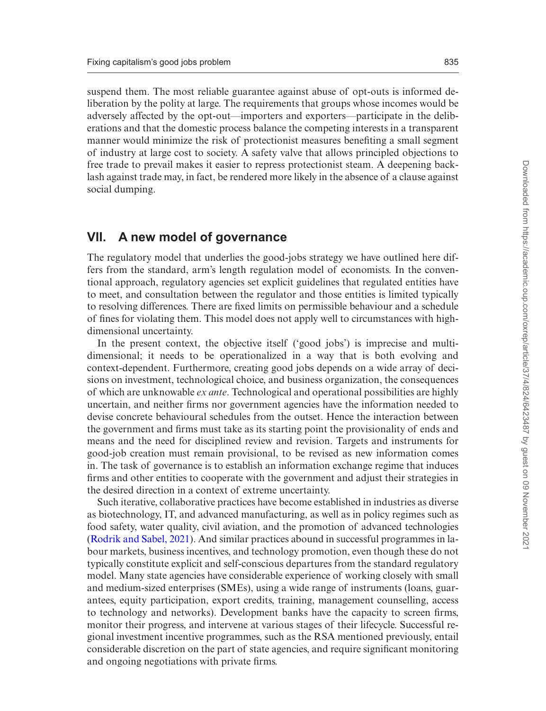suspend them. The most reliable guarantee against abuse of opt-outs is informed deliberation by the polity at large. The requirements that groups whose incomes would be adversely affected by the opt-out—importers and exporters—participate in the deliberations and that the domestic process balance the competing interests in a transparent manner would minimize the risk of protectionist measures benefiting a small segment of industry at large cost to society. A safety valve that allows principled objections to free trade to prevail makes it easier to repress protectionist steam. A deepening backlash against trade may, in fact, be rendered more likely in the absence of a clause against social dumping.

#### **VII. A new model of governance**

The regulatory model that underlies the good-jobs strategy we have outlined here differs from the standard, arm's length regulation model of economists. In the conventional approach, regulatory agencies set explicit guidelines that regulated entities have to meet, and consultation between the regulator and those entities is limited typically to resolving differences. There are fixed limits on permissible behaviour and a schedule of fines for violating them. This model does not apply well to circumstances with highdimensional uncertainty.

In the present context, the objective itself ('good jobs') is imprecise and multidimensional; it needs to be operationalized in a way that is both evolving and context-dependent. Furthermore, creating good jobs depends on a wide array of decisions on investment, technological choice, and business organization, the consequences of which are unknowable *ex ante*. Technological and operational possibilities are highly uncertain, and neither firms nor government agencies have the information needed to devise concrete behavioural schedules from the outset. Hence the interaction between the government and firms must take as its starting point the provisionality of ends and means and the need for disciplined review and revision. Targets and instruments for good-job creation must remain provisional, to be revised as new information comes in. The task of governance is to establish an information exchange regime that induces firms and other entities to cooperate with the government and adjust their strategies in the desired direction in a context of extreme uncertainty.

Such iterative, collaborative practices have become established in industries as diverse as biotechnology, IT, and advanced manufacturing, as well as in policy regimes such as food safety, water quality, civil aviation, and the promotion of advanced technologies ([Rodrik and Sabel, 2021](#page-13-0)). And similar practices abound in successful programmes in labour markets, business incentives, and technology promotion, even though these do not typically constitute explicit and self-conscious departures from the standard regulatory model. Many state agencies have considerable experience of working closely with small and medium-sized enterprises (SMEs), using a wide range of instruments (loans, guarantees, equity participation, export credits, training, management counselling, access to technology and networks). Development banks have the capacity to screen firms, monitor their progress, and intervene at various stages of their lifecycle. Successful regional investment incentive programmes, such as the RSA mentioned previously, entail considerable discretion on the part of state agencies, and require significant monitoring and ongoing negotiations with private firms.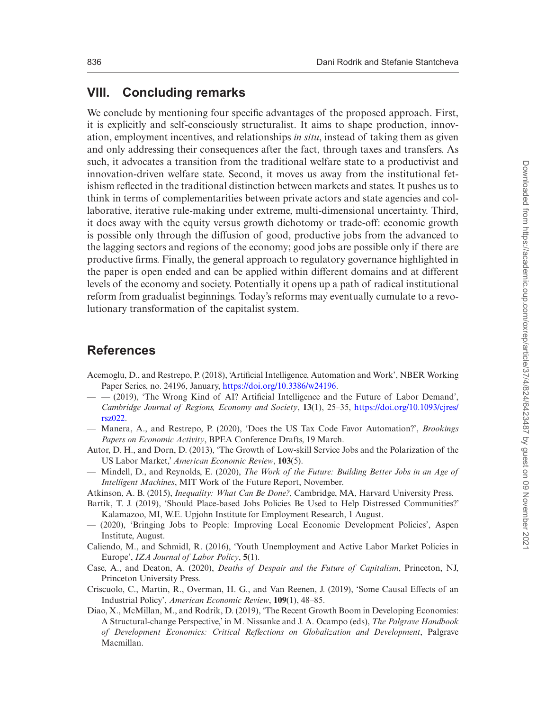# **VIII. Concluding remarks**

We conclude by mentioning four specific advantages of the proposed approach. First, it is explicitly and self-consciously structuralist. It aims to shape production, innovation, employment incentives, and relationships *in situ*, instead of taking them as given and only addressing their consequences after the fact, through taxes and transfers. As such, it advocates a transition from the traditional welfare state to a productivist and innovation-driven welfare state. Second, it moves us away from the institutional fetishism reflected in the traditional distinction between markets and states. It pushes us to think in terms of complementarities between private actors and state agencies and collaborative, iterative rule-making under extreme, multi-dimensional uncertainty. Third, it does away with the equity versus growth dichotomy or trade-off: economic growth is possible only through the diffusion of good, productive jobs from the advanced to the lagging sectors and regions of the economy; good jobs are possible only if there are productive firms. Finally, the general approach to regulatory governance highlighted in the paper is open ended and can be applied within different domains and at different levels of the economy and society. Potentially it opens up a path of radical institutional reform from gradualist beginnings. Today's reforms may eventually cumulate to a revolutionary transformation of the capitalist system.

# **References**

- <span id="page-12-11"></span>Acemoglu, D., and Restrepo, P. (2018), 'Artificial Intelligence, Automation and Work', NBER Working Paper Series, no. 24196, January, [https://doi.org/10.3386/w24196.](https://doi.org/10.3386/w24196)
- <span id="page-12-9"></span>— — (2019), 'The Wrong Kind of AI? Artificial Intelligence and the Future of Labor Demand', *Cambridge Journal of Regions, Economy and Society*, **13**(1), 25–35, [https://doi.org/10.1093/cjres/](https://doi.org/10.1093/cjres/rsz022) [rsz022.](https://doi.org/10.1093/cjres/rsz022)
- <span id="page-12-10"></span>— Manera, A., and Restrepo, P. (2020), 'Does the US Tax Code Favor Automation?', *Brookings Papers on Economic Activity*, BPEA Conference Drafts, 19 March.
- <span id="page-12-1"></span>Autor, D. H., and Dorn, D. (2013), 'The Growth of Low-skill Service Jobs and the Polarization of the US Labor Market,' *American Economic Review*, **103**(5).
- <span id="page-12-2"></span>— Mindell, D., and Reynolds, E. (2020), *The Work of the Future: Building Better Jobs in an Age of Intelligent Machines*, MIT Work of the Future Report, November.
- <span id="page-12-8"></span>Atkinson, A. B. (2015), *Inequality: What Can Be Done?*, Cambridge, MA, Harvard University Press.
- <span id="page-12-6"></span>Bartik, T. J. (2019), 'Should Place-based Jobs Policies Be Used to Help Distressed Communities?' Kalamazoo, MI, W.E. Upjohn Institute for Employment Research, 1 August.
- <span id="page-12-7"></span>— (2020), 'Bringing Jobs to People: Improving Local Economic Development Policies', Aspen Institute, August.
- <span id="page-12-4"></span>Caliendo, M., and Schmidl, R. (2016), 'Youth Unemployment and Active Labor Market Policies in Europe', *IZA Journal of Labor Policy*, **5**(1).
- <span id="page-12-3"></span>Case, A., and Deaton, A. (2020), *Deaths of Despair and the Future of Capitalism*, Princeton, NJ, Princeton University Press.
- <span id="page-12-5"></span>Criscuolo, C., Martin, R., Overman, H. G., and Van Reenen, J. (2019), 'Some Causal Effects of an Industrial Policy', *American Economic Review*, **109**(1), 48–85.
- <span id="page-12-0"></span>Diao, X., McMillan, M., and Rodrik, D. (2019), 'The Recent Growth Boom in Developing Economies: A Structural-change Perspective,' in M. Nissanke and J. A. Ocampo (eds), *The Palgrave Handbook of Development Economics: Critical Reflections on Globalization and Development*, Palgrave Macmillan.